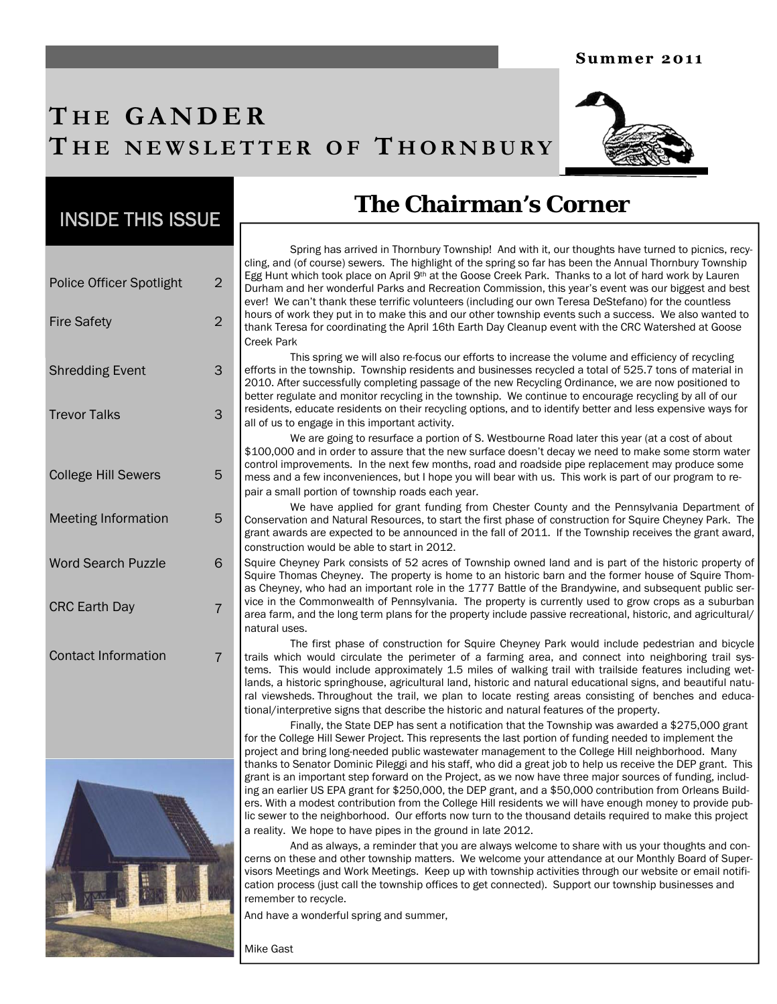#### Summer 2011

## **T H E GANDER T H E NEWSLETTER O F T HORNBURY**



## INSIDE THIS ISSUE

| <b>Police Officer Spotlight</b> | 2 |
|---------------------------------|---|
| <b>Fire Safety</b>              | 2 |
| <b>Shredding Event</b>          | 3 |
| <b>Trevor Talks</b>             | 3 |
| <b>College Hill Sewers</b>      | 5 |
| <b>Meeting Information</b>      | 5 |
| <b>Word Search Puzzle</b>       | 6 |
| <b>CRC Earth Day</b>            | 7 |
| <b>Contact Information</b>      |   |



## **The Chairman's Corner**

 Spring has arrived in Thornbury Township! And with it, our thoughts have turned to picnics, recycling, and (of course) sewers. The highlight of the spring so far has been the Annual Thornbury Township Egg Hunt which took place on April 9<sup>th</sup> at the Goose Creek Park. Thanks to a lot of hard work by Lauren Durham and her wonderful Parks and Recreation Commission, this year's event was our biggest and best ever! We can't thank these terrific volunteers (including our own Teresa DeStefano) for the countless hours of work they put in to make this and our other township events such a success. We also wanted to thank Teresa for coordinating the April 16th Earth Day Cleanup event with the CRC Watershed at Goose Creek Park

 This spring we will also re-focus our efforts to increase the volume and efficiency of recycling efforts in the township. Township residents and businesses recycled a total of 525.7 tons of material in 2010. After successfully completing passage of the new Recycling Ordinance, we are now positioned to better regulate and monitor recycling in the township. We continue to encourage recycling by all of our residents, educate residents on their recycling options, and to identify better and less expensive ways for all of us to engage in this important activity.

 We are going to resurface a portion of S. Westbourne Road later this year (at a cost of about \$100,000 and in order to assure that the new surface doesn't decay we need to make some storm water control improvements. In the next few months, road and roadside pipe replacement may produce some mess and a few inconveniences, but I hope you will bear with us. This work is part of our program to repair a small portion of township roads each year.

 We have applied for grant funding from Chester County and the Pennsylvania Department of Conservation and Natural Resources, to start the first phase of construction for Squire Cheyney Park. The grant awards are expected to be announced in the fall of 2011. If the Township receives the grant award, construction would be able to start in 2012.

Squire Cheyney Park consists of 52 acres of Township owned land and is part of the historic property of Squire Thomas Cheyney. The property is home to an historic barn and the former house of Squire Thomas Cheyney, who had an important role in the 1777 Battle of the Brandywine, and subsequent public service in the Commonwealth of Pennsylvania. The property is currently used to grow crops as a suburban area farm, and the long term plans for the property include passive recreational, historic, and agricultural/ natural uses.

 The first phase of construction for Squire Cheyney Park would include pedestrian and bicycle trails which would circulate the perimeter of a farming area, and connect into neighboring trail systems. This would include approximately 1.5 miles of walking trail with trailside features including wetlands, a historic springhouse, agricultural land, historic and natural educational signs, and beautiful natural viewsheds. Throughout the trail, we plan to locate resting areas consisting of benches and educational/interpretive signs that describe the historic and natural features of the property.

 Finally, the State DEP has sent a notification that the Township was awarded a \$275,000 grant for the College Hill Sewer Project. This represents the last portion of funding needed to implement the project and bring long-needed public wastewater management to the College Hill neighborhood. Many thanks to Senator Dominic Pileggi and his staff, who did a great job to help us receive the DEP grant. This grant is an important step forward on the Project, as we now have three major sources of funding, including an earlier US EPA grant for \$250,000, the DEP grant, and a \$50,000 contribution from Orleans Builders. With a modest contribution from the College Hill residents we will have enough money to provide public sewer to the neighborhood. Our efforts now turn to the thousand details required to make this project a reality. We hope to have pipes in the ground in late 2012.

 And as always, a reminder that you are always welcome to share with us your thoughts and concerns on these and other township matters. We welcome your attendance at our Monthly Board of Supervisors Meetings and Work Meetings. Keep up with township activities through our website or email notification process (just call the township offices to get connected). Support our township businesses and remember to recycle.

And have a wonderful spring and summer,

Mike Gast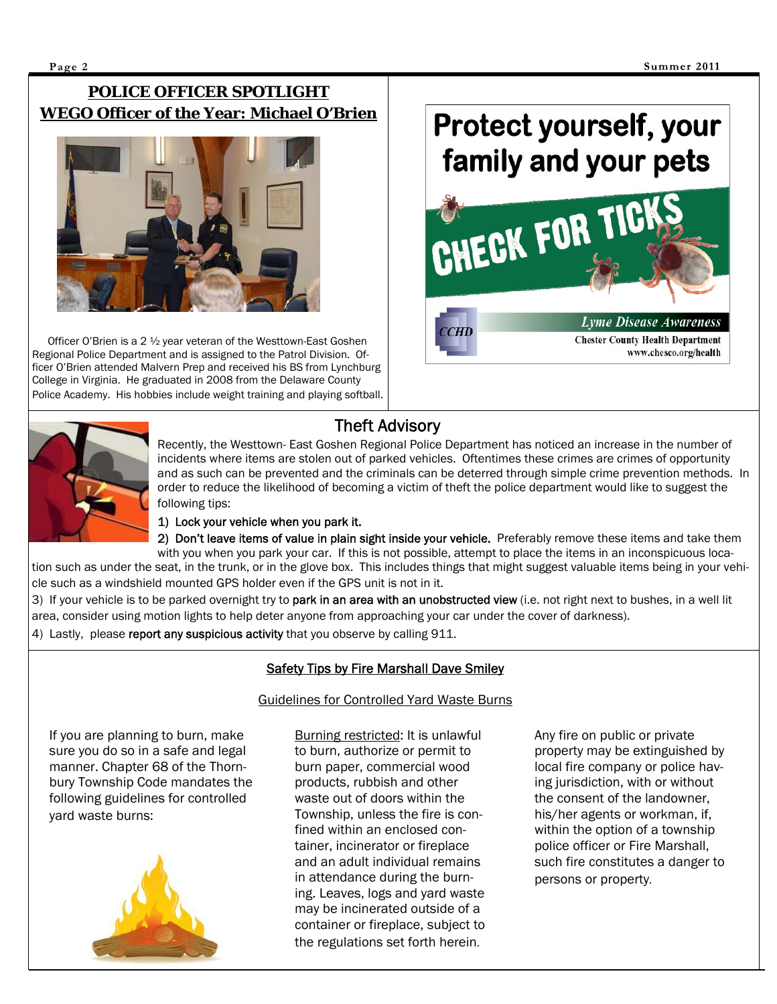### **POLICE OFFICER SPOTLIGHT WEGO Officer of the Year: Michael O'Brien**



 Officer O'Brien is a 2 ½ year veteran of the Westtown-East Goshen Regional Police Department and is assigned to the Patrol Division. Officer O'Brien attended Malvern Prep and received his BS from Lynchburg College in Virginia. He graduated in 2008 from the Delaware County Police Academy. His hobbies include weight training and playing softball.

# Protect yourself, your family and your pets





I

I

## Theft Advisory

Recently, the Westtown- East Goshen Regional Police Department has noticed an increase in the number of incidents where items are stolen out of parked vehicles. Oftentimes these crimes are crimes of opportunity and as such can be prevented and the criminals can be deterred through simple crime prevention methods. In order to reduce the likelihood of becoming a victim of theft the police department would like to suggest the following tips:

#### 1) Lock your vehicle when you park it.

2) Don't leave items of value in plain sight inside your vehicle. Preferably remove these items and take them with you when you park your car. If this is not possible, attempt to place the items in an inconspicuous location such as under the seat, in the trunk, or in the glove box. This includes things that might suggest valuable items being in your vehicle such as a windshield mounted GPS holder even if the GPS unit is not in it.

3) If your vehicle is to be parked overnight try to park in an area with an unobstructed view (i.e. not right next to bushes, in a well lit area, consider using motion lights to help deter anyone from approaching your car under the cover of darkness).

4) Lastly, please report any suspicious activity that you observe by calling 911.

### Safety Tips by Fire Marshall Dave Smiley

If you are planning to burn, make sure you do so in a safe and legal manner. Chapter 68 of the Thornbury Township Code mandates the following guidelines for controlled yard waste burns:



#### Guidelines for Controlled Yard Waste Burns

Burning restricted: It is unlawful to burn, authorize or permit to burn paper, commercial wood products, rubbish and other waste out of doors within the Township, unless the fire is confined within an enclosed container, incinerator or fireplace and an adult individual remains in attendance during the burning. Leaves, logs and yard waste may be incinerated outside of a container or fireplace, subject to the regulations set forth herein.

Any fire on public or private property may be extinguished by local fire company or police having jurisdiction, with or without the consent of the landowner, his/her agents or workman, if, within the option of a township police officer or Fire Marshall, such fire constitutes a danger to persons or property.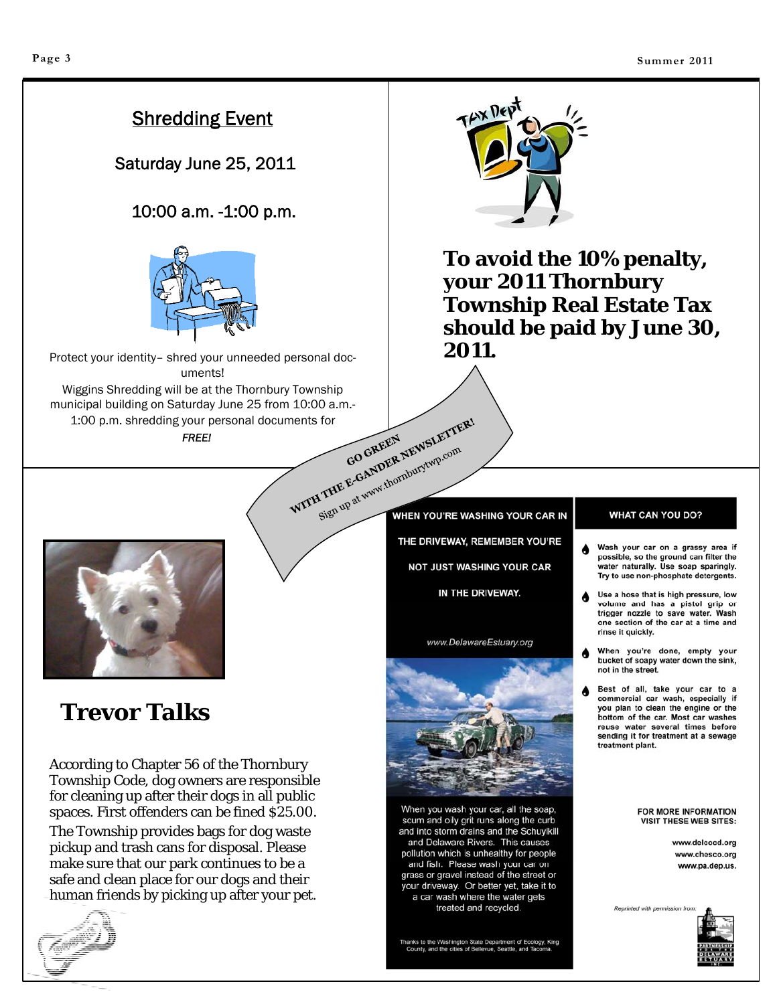## Shredding Event

Saturday June 25, 2011

### 10:00 a.m. -1:00 p.m.



Protect your identity– shred your unneeded personal documents! Wiggins Shredding will be at the Thornbury Township municipal building on Saturday June 25 from 10:00 a.m.-<br>1:00 p.m. shredding your personal documents for<br>FREE! 1:00 p.m. shredding your personal documents for

*FREE!* 



**To avoid the 10% penalty, your 2011 Thornbury Township Real Estate Tax should be paid by June 30, 2011.** 



## **Trevor Talks**

According to Chapter 56 of the Thornbury Township Code, dog owners are responsible for cleaning up after their dogs in all public spaces. First offenders can be fined \$25.00.

The Township provides bags for dog waste pickup and trash cans for disposal. Please make sure that our park continues to be a safe and clean place for our dogs and their human friends by picking up after your pet.



Sign up at www.thornburytwp.com WHEN YOU'RE WASHING YOUR CAR IN THE DRIVEWAY, REMEMBER YOU'RE **NOT JUST WASHING YOUR CAR** IN THE DRIVEWAY.

www.DelawareEstuary.org



When you wash your car, all the soap, scum and oily grit runs along the curb and into storm drains and the Schuylkill and Delaware Rivers. This causes pollution which is unhealthy for people and fish. Please wash your car on grass or gravel instead of the street or your driveway. Or better yet, take it to a car wash where the water gets treated and recycled.

Thanks to the Washington State Department of Ecology, King<br>County, and the cities of Bellevue, Seattle, and Tacoma.

#### **WHAT CAN YOU DO?**

Wash your car on a grassy area if ۸ possible, so the ground can filter the water naturally. Use soap sparingly. Try to use non-phosphate detergents.

Use a hose that is high pressure, low ₳ volume and has a pistol grip or trigger nozzle to save water. Wash one section of the car at a time and rinse it quickly.

- When you're done, empty your ۸ bucket of soapy water down the sink, not in the street.
- Best of all, take your car to a commercial car wash, especially if you plan to clean the engine or the bottom of the car. Most car washes reuse water several times before sending it for treatment at a sewage treatment plant.

FOR MORE INFORMATION **VISIT THESE WEB SITES:** 

> www.delcocd.org www.chesco.org www.pa.dep.us.



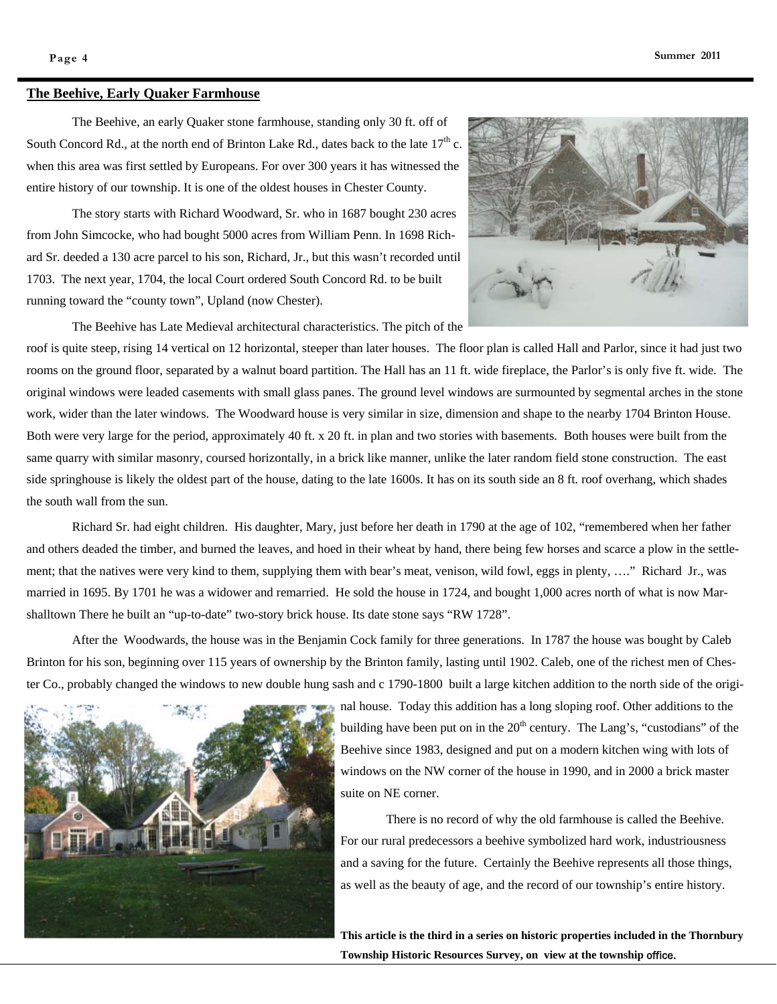#### **The Beehive, Early Quaker Farmhouse**



The Beehive, an early Quaker stone farmhouse, standing only 30 ft. off of South Concord Rd., at the north end of Brinton Lake Rd., dates back to the late  $17<sup>th</sup>$  c. when this area was first settled by Europeans. For over 300 years it has witnessed the entire history of our township. It is one of the oldest houses in Chester County.

The story starts with Richard Woodward, Sr. who in 1687 bought 230 acres from John Simcocke, who had bought 5000 acres from William Penn. In 1698 Richard Sr. deeded a 130 acre parcel to his son, Richard, Jr., but this wasn't recorded until 1703. The next year, 1704, the local Court ordered South Concord Rd. to be built running toward the "county town", Upland (now Chester).

The Beehive has Late Medieval architectural characteristics. The pitch of the

roof is quite steep, rising 14 vertical on 12 horizontal, steeper than later houses. The floor plan is called Hall and Parlor, since it had just two rooms on the ground floor, separated by a walnut board partition. The Hall has an 11 ft. wide fireplace, the Parlor's is only five ft. wide. The original windows were leaded casements with small glass panes. The ground level windows are surmounted by segmental arches in the stone work, wider than the later windows. The Woodward house is very similar in size, dimension and shape to the nearby 1704 Brinton House. Both were very large for the period, approximately 40 ft. x 20 ft. in plan and two stories with basements. Both houses were built from the same quarry with similar masonry, coursed horizontally, in a brick like manner, unlike the later random field stone construction. The east side springhouse is likely the oldest part of the house, dating to the late 1600s. It has on its south side an 8 ft. roof overhang, which shades the south wall from the sun.

Richard Sr. had eight children. His daughter, Mary, just before her death in 1790 at the age of 102, "remembered when her father and others deaded the timber, and burned the leaves, and hoed in their wheat by hand, there being few horses and scarce a plow in the settlement; that the natives were very kind to them, supplying them with bear's meat, venison, wild fowl, eggs in plenty, …." Richard Jr., was married in 1695. By 1701 he was a widower and remarried. He sold the house in 1724, and bought 1,000 acres north of what is now Marshalltown There he built an "up-to-date" two-story brick house. Its date stone says "RW 1728".

After the Woodwards, the house was in the Benjamin Cock family for three generations. In 1787 the house was bought by Caleb Brinton for his son, beginning over 115 years of ownership by the Brinton family, lasting until 1902. Caleb, one of the richest men of Chester Co., probably changed the windows to new double hung sash and c 1790-1800 built a large kitchen addition to the north side of the origi-



nal house. Today this addition has a long sloping roof. Other additions to the building have been put on in the  $20<sup>th</sup>$  century. The Lang's, "custodians" of the Beehive since 1983, designed and put on a modern kitchen wing with lots of windows on the NW corner of the house in 1990, and in 2000 a brick master suite on NE corner.

 There is no record of why the old farmhouse is called the Beehive. For our rural predecessors a beehive symbolized hard work, industriousness and a saving for the future. Certainly the Beehive represents all those things, as well as the beauty of age, and the record of our township's entire history.

**This article is the third in a series on historic properties included in the Thornbury Township Historic Resources Survey, on view at the township** office.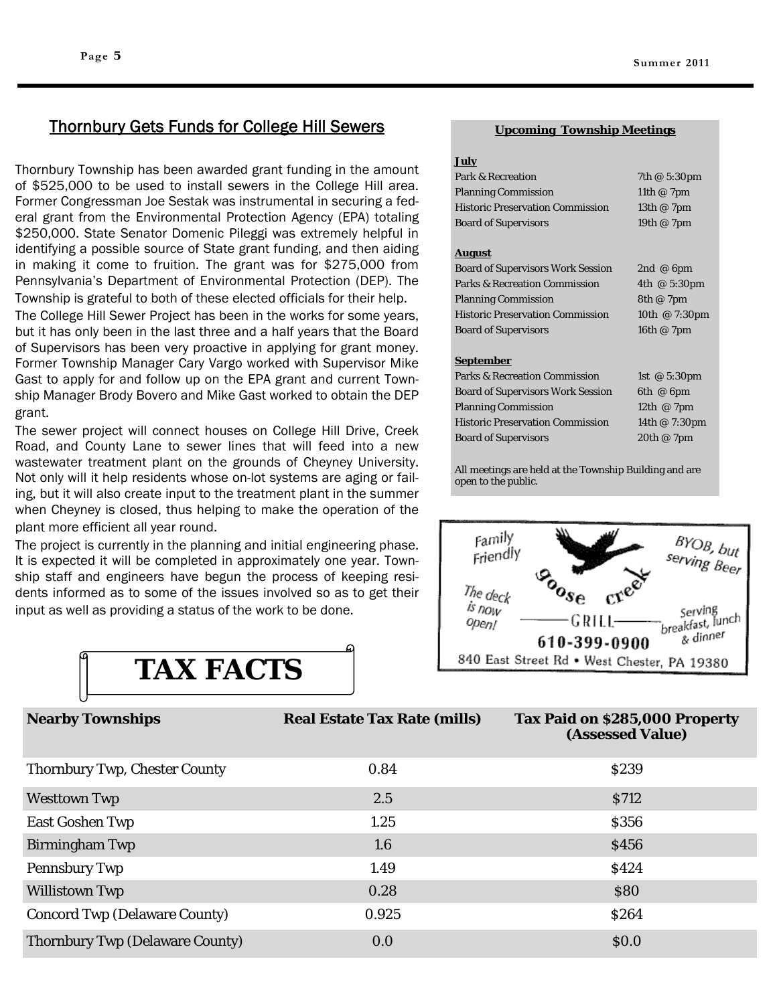### Thornbury Gets Funds for College Hill Sewers

Thornbury Township has been awarded grant funding in the amount of \$525,000 to be used to install sewers in the College Hill area. Former Congressman Joe Sestak was instrumental in securing a federal grant from the Environmental Protection Agency (EPA) totaling \$250,000. State Senator Domenic Pileggi was extremely helpful in identifying a possible source of State grant funding, and then aiding in making it come to fruition. The grant was for \$275,000 from Pennsylvania's Department of Environmental Protection (DEP). The Township is grateful to both of these elected officials for their help.

The College Hill Sewer Project has been in the works for some years, but it has only been in the last three and a half years that the Board of Supervisors has been very proactive in applying for grant money. Former Township Manager Cary Vargo worked with Supervisor Mike Gast to apply for and follow up on the EPA grant and current Township Manager Brody Bovero and Mike Gast worked to obtain the DEP grant.

The sewer project will connect houses on College Hill Drive, Creek Road, and County Lane to sewer lines that will feed into a new wastewater treatment plant on the grounds of Cheyney University. Not only will it help residents whose on-lot systems are aging or failing, but it will also create input to the treatment plant in the summer when Cheyney is closed, thus helping to make the operation of the plant more efficient all year round.

The project is currently in the planning and initial engineering phase. It is expected it will be completed in approximately one year. Township staff and engineers have begun the process of keeping residents informed as to some of the issues involved so as to get their input as well as providing a status of the work to be done.



#### **Upcoming Township Meetings**

| $-$                                      |                       |  |  |  |  |  |  |  |  |
|------------------------------------------|-----------------------|--|--|--|--|--|--|--|--|
| Park & Recreation                        | 7th @ 5:30pm          |  |  |  |  |  |  |  |  |
| <b>Planning Commission</b>               | 11th $@$ 7pm          |  |  |  |  |  |  |  |  |
| <b>Historic Preservation Commission</b>  | 13th @ 7pm            |  |  |  |  |  |  |  |  |
| <b>Board of Supervisors</b>              | 19th @ 7pm            |  |  |  |  |  |  |  |  |
|                                          |                       |  |  |  |  |  |  |  |  |
| <u>August</u>                            |                       |  |  |  |  |  |  |  |  |
| <b>Board of Supervisors Work Session</b> | 2nd @ $6$ pm          |  |  |  |  |  |  |  |  |
| <b>Parks &amp; Recreation Commission</b> | 4th $@5:30 \text{pm}$ |  |  |  |  |  |  |  |  |
| <b>Planning Commission</b>               | 8th@7pm               |  |  |  |  |  |  |  |  |
| <b>Historic Preservation Commission</b>  | 10th @ 7:30pm         |  |  |  |  |  |  |  |  |
| <b>Board of Supervisors</b>              | 16th @ 7pm            |  |  |  |  |  |  |  |  |
|                                          |                       |  |  |  |  |  |  |  |  |
| <u>September</u>                         |                       |  |  |  |  |  |  |  |  |
| <b>Parks &amp; Recreation Commission</b> | 1st $@5:30 \text{pm}$ |  |  |  |  |  |  |  |  |
| <b>Board of Supervisors Work Session</b> | 6th $@$ 6pm           |  |  |  |  |  |  |  |  |
| <b>Planning Commission</b>               | 12th $@7$ pm          |  |  |  |  |  |  |  |  |
| <b>Historic Preservation Commission</b>  | 14th @ 7:30pm         |  |  |  |  |  |  |  |  |
| <b>Board of Supervisors</b>              | 20th @ 7pm            |  |  |  |  |  |  |  |  |

All meetings are held at the Township Building and are open to the public.



| <b>Nearby Townships</b>                | <b>Real Estate Tax Rate (mills)</b> | Tax Paid on \$285,000 Property<br>(Assessed Value) |
|----------------------------------------|-------------------------------------|----------------------------------------------------|
| <b>Thornbury Twp, Chester County</b>   | 0.84                                | \$239                                              |
| <b>Westtown Twp</b>                    | 2.5                                 | <b>S712</b>                                        |
| <b>East Goshen Twp</b>                 | 1.25                                | \$356                                              |
| <b>Birmingham Twp</b>                  | 1.6                                 | \$456                                              |
| <b>Pennsbury Twp</b>                   | 1.49                                | \$424                                              |
| <b>Willistown Twp</b>                  | 0.28                                | \$80                                               |
| <b>Concord Twp (Delaware County)</b>   | 0.925                               | <b>\$264</b>                                       |
| <b>Thornbury Twp (Delaware County)</b> | 0.0                                 | \$0.0                                              |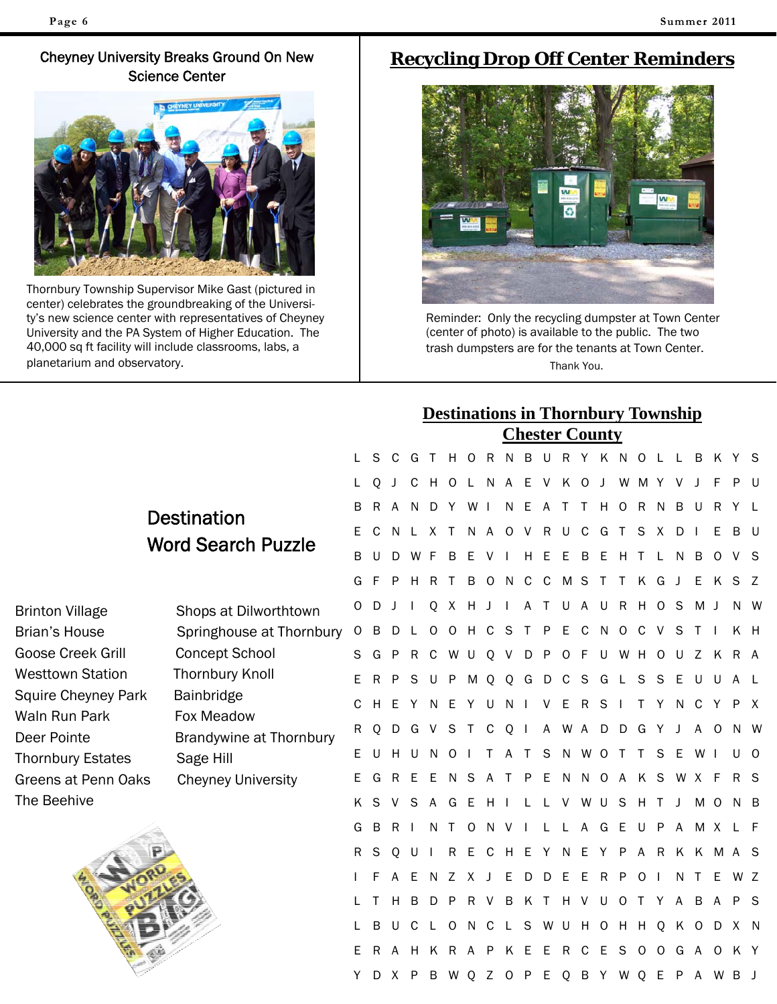### Cheyney University Breaks Ground On New Science Center



Thornbury Township Supervisor Mike Gast (pictured in center) celebrates the groundbreaking of the University's new science center with representatives of Cheyney University and the PA System of Higher Education. The 40,000 sq ft facility will include classrooms, labs, a planetarium and observatory.

## **Recycling Drop Off Center Reminders**



Reminder: Only the recycling dumpster at Town Center (center of photo) is available to the public. The two trash dumpsters are for the tenants at Town Center. Thank You.

|     |                                      |    |    |       |              |              | <b>Destinations in Thornbury Township</b> |             |              |              |                |                       |              |              |         |                     |         |         |              |                     |    |                             |  |
|-----|--------------------------------------|----|----|-------|--------------|--------------|-------------------------------------------|-------------|--------------|--------------|----------------|-----------------------|--------------|--------------|---------|---------------------|---------|---------|--------------|---------------------|----|-----------------------------|--|
|     |                                      |    |    |       |              |              |                                           |             |              |              |                | <b>Chester County</b> |              |              |         |                     |         |         |              |                     |    |                             |  |
|     |                                      | L  | S  | C     | G            | $\top$       | H O                                       |             | R            | <sup>N</sup> | $\overline{B}$ | U                     | $R_{\perp}$  |              |         | Y K N O L L         |         |         |              | B                   | K  | YS                          |  |
|     |                                      | L. | 0  | J     | C            | H O          |                                           |             |              | L N A E V    |                |                       | K            | $\circ$      | $\perp$ | W M Y               |         |         | V            | $\perp$             | F  | P U                         |  |
|     | <b>Destination</b>                   | B  | R  |       | N.           |              | DY WI                                     |             |              | N.           | E.             | A                     | $\top$       |              | T H O   |                     |         | R N     | B            | U                   | R. |                             |  |
|     |                                      | E. | C  | N     | $\perp$      |              | X T                                       |             |              |              |                | N A O V R U C         |              |              |         | G T S X             |         |         | D            | $\mathbf{I}$        | Е  | BU                          |  |
|     | <b>Word Search Puzzle</b>            | B  | U  | D     | W            | - F          | B                                         | Е           | v            |              | H              | E                     | Е            | B            | E.      | H T                 |         | L       | N.           | B                   | 0  | V S                         |  |
|     |                                      | G  |    | P     | H.           | R            | Т                                         | B           | $\Omega$     | -N           | C              | C                     | M S          |              | $\top$  | T                   | K       | G       | $\mathbf{I}$ | Е                   | K  | S Z                         |  |
|     | Shops at Dilworthtown                | 0  | D  |       | T            | Q            | $\mathsf{X}$                              | H J         |              | $\perp$      | $\mathsf{A}$   | $\top$                |              |              |         | U A U R H O S       |         |         |              | M J                 |    | N W                         |  |
|     | Springhouse at Thornbury             | 0  | B  | D     | L            | $\circ$      | $\circ$                                   | H C         |              | - S          | т              | P                     | E.           | C            |         | N O C               |         | V       | S            |                     |    | K H                         |  |
|     | <b>Concept School</b>                | S  | G  | P     | R            |              | C W U                                     |             | $\mathsf{Q}$ | V            | D              | $\mathsf{P}$          | $O$ F        |              | U       | W H O               |         |         | U Z          |                     |    | K R A                       |  |
|     | <b>Thornbury Knoll</b>               | Е  | R  | P     | S            | U            | P                                         | M           | Q            | Q            |                | G D C S               |              |              |         | GLSSE               |         |         |              | U                   | U  | A L                         |  |
| ark | Bainbridge                           | C  | H. | Ε     | Y            | N            | Е                                         | Y           | U            | N            |                | V                     | Е            | R            | S       | $\perp$             | т       | Y       | N.           | C                   | Y  | P X                         |  |
|     | Fox Meadow                           | R  | Q  | D     | G V          |              | S.                                        |             |              | T C Q I      |                |                       |              |              |         |                     |         |         |              | A W A D D G Y J A O |    | N W                         |  |
|     | Brandywine at Thornbury<br>Sage Hill | E. | U  | H.    | U            | <sup>N</sup> | $\circ$                                   |             | Τ            | A            | T              | S                     |              | N W O        |         | $\top$              | T.      | S.      | E            | W I                 |    | U O                         |  |
| aks | <b>Cheyney University</b>            | E. | G  | R E   |              |              | E N S A T P E                             |             |              |              |                |                       |              |              |         |                     |         |         |              | N N O A K S W X F   |    | R S                         |  |
|     |                                      | K  | S  |       | S            | $\mathsf{A}$ | G                                         | E           | H            |              | L              | L V                   |              | W U          |         | S                   | HT.     |         | $\mathsf J$  | M O                 |    | N B                         |  |
|     |                                      | G  | B  | R.    | $\mathbf{I}$ | N.           | $\top$                                    | $\circ$     | N.           | - V          |                | $\mathbf{L}$          |              | L A          | G E     |                     |         | UPA     |              |                     |    | M X L F                     |  |
|     |                                      | R  | S  | 0     | U            | $\mathbf{I}$ | R                                         | E.          | C            |              |                |                       |              |              |         |                     |         |         |              |                     |    | H E Y N E Y P A R K K M A S |  |
|     |                                      |    | F  |       | Е            | N            | Z                                         | X           | $\mathbf{I}$ | Е            | D              | D                     | Е            | E            | R       | P                   | $\circ$ |         | N            | T                   | E  | W Z                         |  |
|     |                                      |    |    | H     | B            | D            | $\mathsf{P}$                              | $R_{\perp}$ | V            | B            | K              | $\mathsf{T}$          | H            | $\vee$       | U       | $\circ$             | $\top$  | Y A     |              | B                   | A  | P S                         |  |
|     |                                      |    | B  | U     | C            |              | 0                                         | N.          | C            |              | S              |                       |              |              |         | W U H O H H Q       |         |         | K            | $\circ$             |    | D X N                       |  |
|     |                                      | E. | R  | A     | Н.           | K            | R A P                                     |             |              | K            | E              | E.                    | $\mathsf{R}$ | $\mathsf{C}$ | Е       | S                   | $\circ$ | $\circ$ | G A          |                     |    | O K Y                       |  |
|     |                                      | Y. |    | D X P |              |              | B W Q Z                                   |             |              |              |                |                       |              |              |         | O P E Q B Y W Q E P |         |         |              |                     |    | A W B J                     |  |
|     |                                      |    |    |       |              |              |                                           |             |              |              |                |                       |              |              |         |                     |         |         |              |                     |    |                             |  |

Brinton Village Brian's House Goose Creek Grill Westtown Station Squire Cheyney Pa Waln Run Park Deer Pointe Thornbury Estates Greens at Penn Oaks The Beehive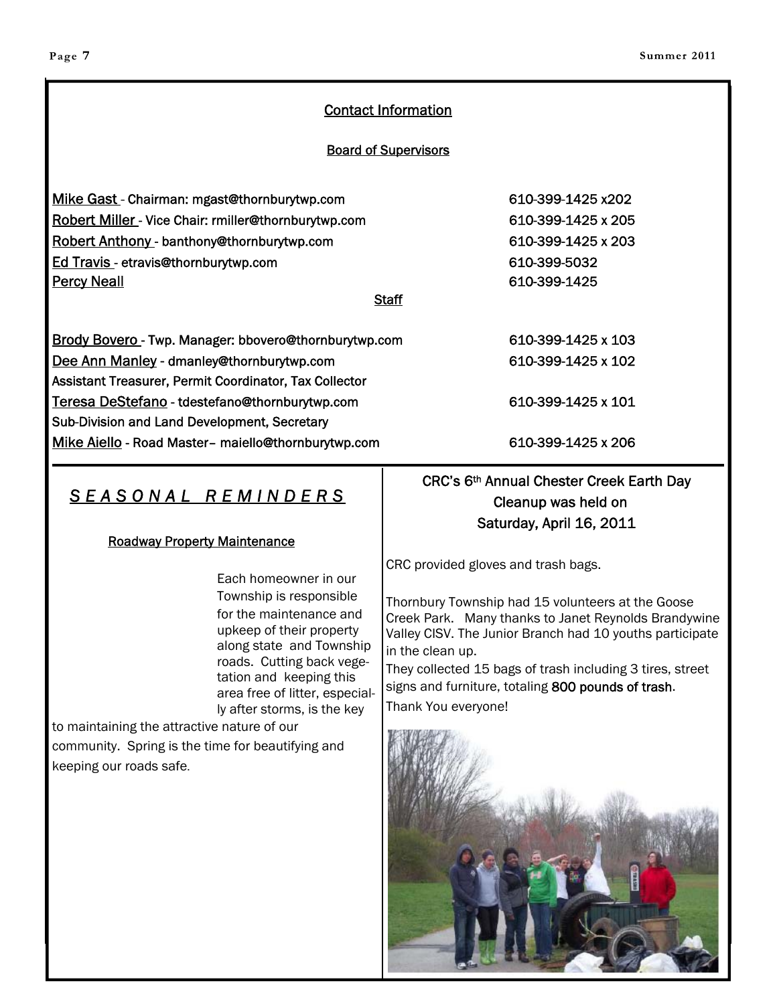### Contact Information

#### Board of Supervisors

| Mike Gast - Chairman: mgast@thornburytwp.com                 | 610-399-1425 x202  |
|--------------------------------------------------------------|--------------------|
| <b>Robert Miller</b> - Vice Chair: rmiller@thornburytwp.com  | 610-399-1425 x 205 |
| Robert Anthony - banthony@thornburytwp.com                   | 610-399-1425 x 203 |
| Ed Travis - etravis@thornburytwp.com                         | 610-399-5032       |
| <b>Percy Neall</b>                                           | 610-399-1425       |
| <b>Staff</b>                                                 |                    |
| <b>Brody Bovero</b> - Twp. Manager: bbovero@thornburytwp.com | 610-399-1425 x 103 |
| Dee Ann Manley - dmanley@thornburytwp.com                    | 610-399-1425 x 102 |
| Assistant Treasurer, Permit Coordinator, Tax Collector       |                    |
| Teresa DeStefano - tdestefano@thornburytwp.com               | 610-399-1425 x 101 |
| Sub-Division and Land Development, Secretary                 |                    |
| Mike Aiello - Road Master- maiello@thornburytwp.com          | 610-399-1425 x 206 |

## *SEASONAL REMINDERS*

#### Roadway Property Maintenance

Each homeowner in our Township is responsible for the maintenance and upkeep of their property along state and Township roads. Cutting back vegetation and keeping this area free of litter, especially after storms, is the key

to maintaining the attractive nature of our community. Spring is the time for beautifying and keeping our roads safe.

CRC's 6th Annual Chester Creek Earth Day Cleanup was held on Saturday, April 16, 2011

CRC provided gloves and trash bags.

Thornbury Township had 15 volunteers at the Goose Creek Park. Many thanks to Janet Reynolds Brandywine Valley CISV. The Junior Branch had 10 youths participate in the clean up.

They collected 15 bags of trash including 3 tires, street signs and furniture, totaling 800 pounds of trash. Thank You everyone!